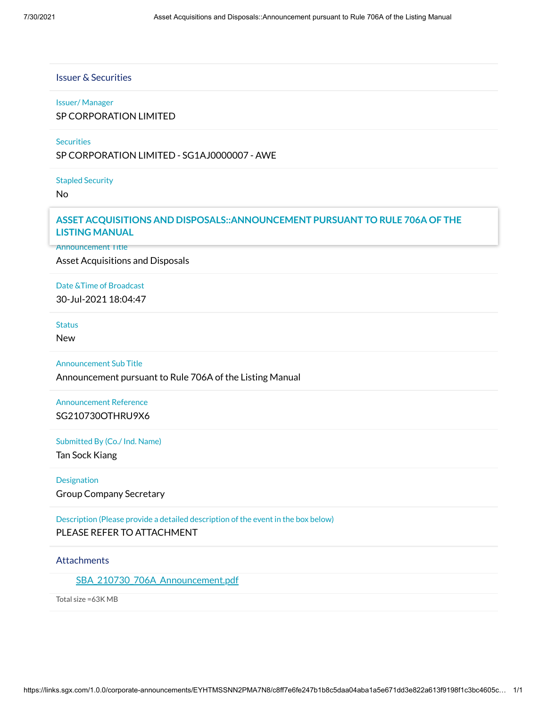### Issuer & Securities

#### Issuer/ Manager

### SP CORPORATION LIMITED

### **Securities**

SP CORPORATION LIMITED - SG1AJ0000007 - AWE

Stapled Security

No

# Announcement Details **ASSET ACQUISITIONS AND DISPOSALS::ANNOUNCEMENT PURSUANT TO RULE 706A OF THE LISTING MANUAL**

**Announcement Title** 

Asset Acquisitions and Disposals

Date &Time of Broadcast 30-Jul-2021 18:04:47

#### **Status**

New

Announcement Sub Title

Announcement pursuant to Rule 706A of the Listing Manual

Announcement Reference SG210730OTHRU9X6

Submitted By (Co./ Ind. Name)

Tan Sock Kiang

Designation Group Company Secretary

Description (Please provide a detailed description of the event in the box below) PLEASE REFER TO ATTACHMENT

# **Attachments**

SBA 210730 706A Announcement.pdf

Total size =63K MB